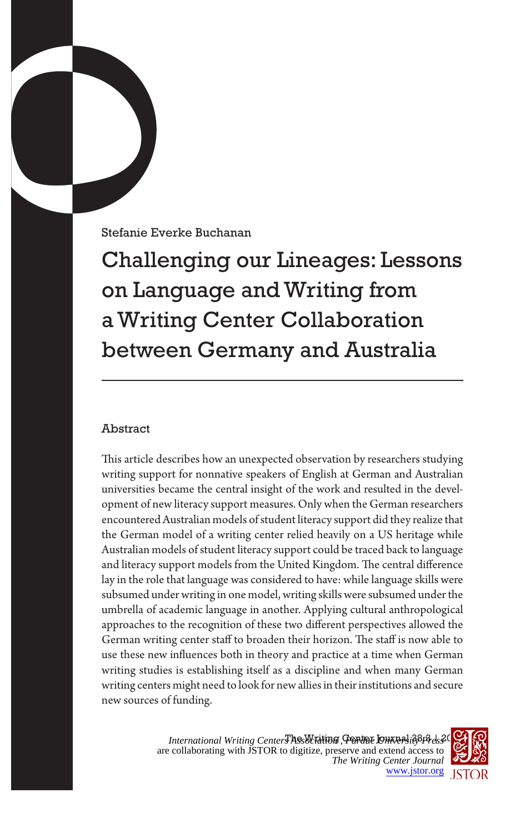Stefanie Everke Buchanan

Challenging our Lineages: Lessons on Language and Writing from a Writing Center Collaboration between Germany and Australia

## Abstract

This article describes how an unexpected observation by researchers studying writing support for nonnative speakers of English at German and Australian universities became the central insight of the work and resulted in the development of new literacy support measures. Only when the German researchers encountered Australian models of student literacy support did they realize that the German model of a writing center relied heavily on a US heritage while Australian models of student literacy support could be traced back to language and literacy support models from the United Kingdom. The central difference lay in the role that language was considered to have: while language skills were subsumed under writing in one model, writing skills were subsumed under the umbrella of academic language in another. Applying cultural anthropological approaches to the recognition of these two different perspectives allowed the German writing center staff to broaden their horizon. The staff is now able to use these new influences both in theory and practice at a time when German writing studies is establishing itself as a discipline and when many German writing centers might need to look for new allies in their institutions and secure new sources of funding.

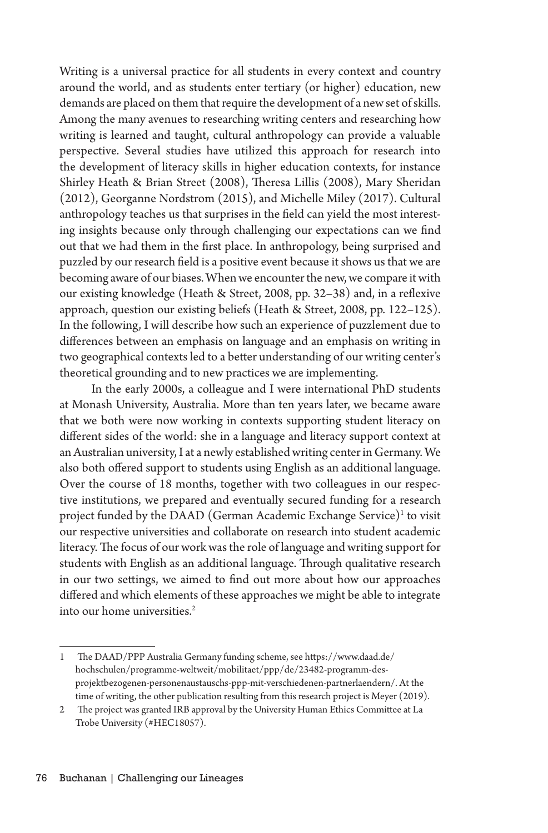Writing is a universal practice for all students in every context and country around the world, and as students enter tertiary (or higher) education, new demands are placed on them that require the development of a new set of skills. Among the many avenues to researching writing centers and researching how writing is learned and taught, cultural anthropology can provide a valuable perspective. Several studies have utilized this approach for research into the development of literacy skills in higher education contexts, for instance Shirley Heath & Brian Street (2008), Theresa Lillis (2008), Mary Sheridan (2012), Georganne Nordstrom (2015), and Michelle Miley (2017). Cultural anthropology teaches us that surprises in the field can yield the most interesting insights because only through challenging our expectations can we find out that we had them in the first place. In anthropology, being surprised and puzzled by our research field is a positive event because it shows us that we are becoming aware of our biases. When we encounter the new, we compare it with our existing knowledge (Heath & Street, 2008, pp. 32–38) and, in a reflexive approach, question our existing beliefs (Heath & Street, 2008, pp. 122–125). In the following, I will describe how such an experience of puzzlement due to differences between an emphasis on language and an emphasis on writing in two geographical contexts led to a better understanding of our writing center's theoretical grounding and to new practices we are implementing.

In the early 2000s, a colleague and I were international PhD students at Monash University, Australia. More than ten years later, we became aware that we both were now working in contexts supporting student literacy on different sides of the world: she in a language and literacy support context at an Australian university, I at a newly established writing center in Germany. We also both offered support to students using English as an additional language. Over the course of 18 months, together with two colleagues in our respective institutions, we prepared and eventually secured funding for a research project funded by the DAAD (German Academic Exchange Service) $^{\rm 1}$  to visit our respective universities and collaborate on research into student academic literacy. The focus of our work was the role of language and writing support for students with English as an additional language. Through qualitative research in our two settings, we aimed to find out more about how our approaches differed and which elements of these approaches we might be able to integrate into our home universities.<sup>2</sup>

<sup>1</sup> The DAAD/PPP Australia Germany funding scheme, see https://www.daad.de/ hochschulen/programme-weltweit/mobilitaet/ppp/de/23482-programm-desprojektbezogenen-personenaustauschs-ppp-mit-verschiedenen-partnerlaendern/. At the time of writing, the other publication resulting from this research project is Meyer (2019).

<sup>2</sup> The project was granted IRB approval by the University Human Ethics Committee at La Trobe University (#HEC18057).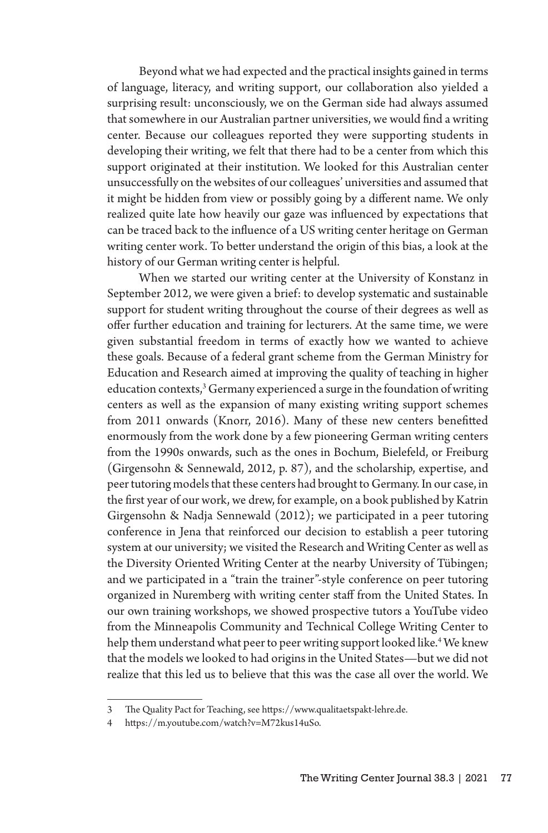Beyond what we had expected and the practical insights gained in terms of language, literacy, and writing support, our collaboration also yielded a surprising result: unconsciously, we on the German side had always assumed that somewhere in our Australian partner universities, we would find a writing center. Because our colleagues reported they were supporting students in developing their writing, we felt that there had to be a center from which this support originated at their institution. We looked for this Australian center unsuccessfully on the websites of our colleagues' universities and assumed that it might be hidden from view or possibly going by a different name. We only realized quite late how heavily our gaze was influenced by expectations that can be traced back to the influence of a US writing center heritage on German writing center work. To better understand the origin of this bias, a look at the history of our German writing center is helpful.

When we started our writing center at the University of Konstanz in September 2012, we were given a brief: to develop systematic and sustainable support for student writing throughout the course of their degrees as well as offer further education and training for lecturers. At the same time, we were given substantial freedom in terms of exactly how we wanted to achieve these goals. Because of a federal grant scheme from the German Ministry for Education and Research aimed at improving the quality of teaching in higher education contexts,<sup>3</sup> Germany experienced a surge in the foundation of writing centers as well as the expansion of many existing writing support schemes from 2011 onwards (Knorr, 2016). Many of these new centers benefitted enormously from the work done by a few pioneering German writing centers from the 1990s onwards, such as the ones in Bochum, Bielefeld, or Freiburg (Girgensohn & Sennewald, 2012, p. 87), and the scholarship, expertise, and peer tutoring models that these centers had brought to Germany. In our case, in the first year of our work, we drew, for example, on a book published by Katrin Girgensohn & Nadja Sennewald (2012); we participated in a peer tutoring conference in Jena that reinforced our decision to establish a peer tutoring system at our university; we visited the Research and Writing Center as well as the Diversity Oriented Writing Center at the nearby University of Tübingen; and we participated in a "train the trainer"-style conference on peer tutoring organized in Nuremberg with writing center staff from the United States. In our own training workshops, we showed prospective tutors a YouTube video from the Minneapolis Community and Technical College Writing Center to help them understand what peer to peer writing support looked like.4 We knew that the models we looked to had origins in the United States—but we did not realize that this led us to believe that this was the case all over the world. We

<sup>3</sup> The Quality Pact for Teaching, see https://www.qualitaetspakt-lehre.de.

<sup>4</sup> https://m.youtube.com/watch?v=M72kus14uSo.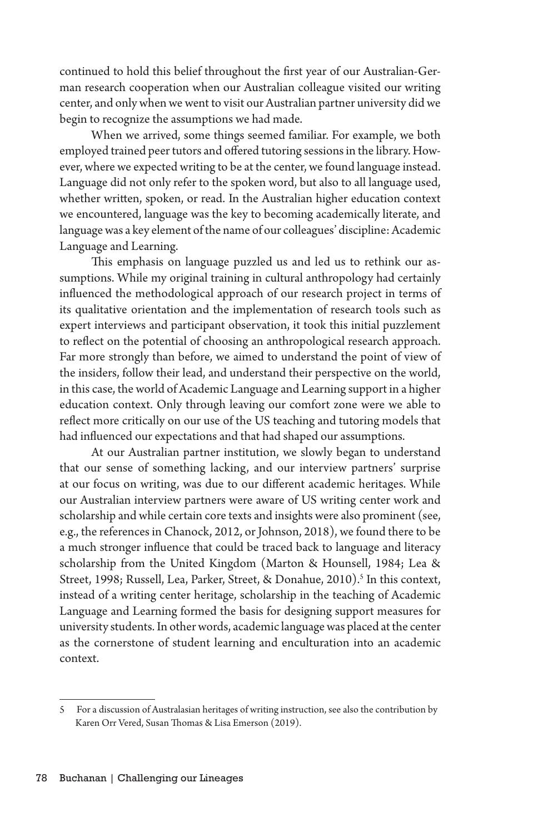continued to hold this belief throughout the first year of our Australian-German research cooperation when our Australian colleague visited our writing center, and only when we went to visit our Australian partner university did we begin to recognize the assumptions we had made.

When we arrived, some things seemed familiar. For example, we both employed trained peer tutors and offered tutoring sessions in the library. However, where we expected writing to be at the center, we found language instead. Language did not only refer to the spoken word, but also to all language used, whether written, spoken, or read. In the Australian higher education context we encountered, language was the key to becoming academically literate, and language was a key element of the name of our colleagues' discipline: Academic Language and Learning.

This emphasis on language puzzled us and led us to rethink our assumptions. While my original training in cultural anthropology had certainly influenced the methodological approach of our research project in terms of its qualitative orientation and the implementation of research tools such as expert interviews and participant observation, it took this initial puzzlement to reflect on the potential of choosing an anthropological research approach. Far more strongly than before, we aimed to understand the point of view of the insiders, follow their lead, and understand their perspective on the world, in this case, the world of Academic Language and Learning support in a higher education context. Only through leaving our comfort zone were we able to reflect more critically on our use of the US teaching and tutoring models that had influenced our expectations and that had shaped our assumptions.

At our Australian partner institution, we slowly began to understand that our sense of something lacking, and our interview partners' surprise at our focus on writing, was due to our different academic heritages. While our Australian interview partners were aware of US writing center work and scholarship and while certain core texts and insights were also prominent (see, e.g., the references in Chanock, 2012, or Johnson, 2018), we found there to be a much stronger influence that could be traced back to language and literacy scholarship from the United Kingdom (Marton & Hounsell, 1984; Lea & Street, 1998; Russell, Lea, Parker, Street, & Donahue, 2010).<sup>5</sup> In this context, instead of a writing center heritage, scholarship in the teaching of Academic Language and Learning formed the basis for designing support measures for university students. In other words, academic language was placed at the center as the cornerstone of student learning and enculturation into an academic context.

<sup>5</sup> For a discussion of Australasian heritages of writing instruction, see also the contribution by Karen Orr Vered, Susan Thomas & Lisa Emerson (2019).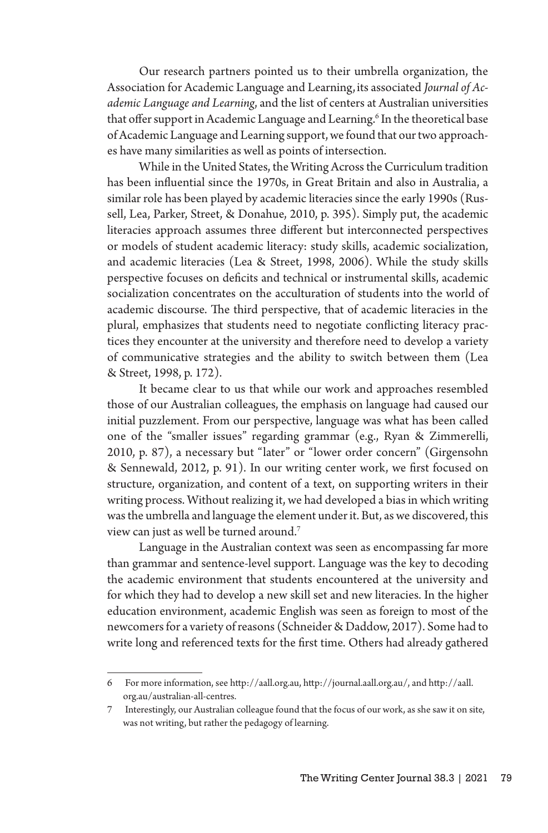Our research partners pointed us to their umbrella organization, the Association for Academic Language and Learning,its associated *Journal of Academic Language and Learning*, and the list of centers at Australian universities that offer support in Academic Language and Learning.<sup>6</sup> In the theoretical base of Academic Language and Learning support, we found that our two approaches have many similarities as well as points of intersection.

While in the United States, the Writing Across the Curriculum tradition has been influential since the 1970s, in Great Britain and also in Australia, a similar role has been played by academic literacies since the early 1990s (Russell, Lea, Parker, Street, & Donahue, 2010, p. 395). Simply put, the academic literacies approach assumes three different but interconnected perspectives or models of student academic literacy: study skills, academic socialization, and academic literacies (Lea & Street, 1998, 2006). While the study skills perspective focuses on deficits and technical or instrumental skills, academic socialization concentrates on the acculturation of students into the world of academic discourse. The third perspective, that of academic literacies in the plural, emphasizes that students need to negotiate conflicting literacy practices they encounter at the university and therefore need to develop a variety of communicative strategies and the ability to switch between them (Lea & Street, 1998, p. 172).

It became clear to us that while our work and approaches resembled those of our Australian colleagues, the emphasis on language had caused our initial puzzlement. From our perspective, language was what has been called one of the "smaller issues" regarding grammar (e.g., Ryan & Zimmerelli, 2010, p. 87), a necessary but "later" or "lower order concern" (Girgensohn & Sennewald, 2012, p. 91). In our writing center work, we first focused on structure, organization, and content of a text, on supporting writers in their writing process. Without realizing it, we had developed a bias in which writing was the umbrella and language the element under it. But, as we discovered, this view can just as well be turned around.<sup>7</sup>

Language in the Australian context was seen as encompassing far more than grammar and sentence-level support. Language was the key to decoding the academic environment that students encountered at the university and for which they had to develop a new skill set and new literacies. In the higher education environment, academic English was seen as foreign to most of the newcomers for a variety of reasons (Schneider & Daddow, 2017). Some had to write long and referenced texts for the first time. Others had already gathered

<sup>6</sup> For more information, see http://aall.org.au, http://journal.aall.org.au/, and http://aall. org.au/australian-all-centres.

<sup>7</sup> Interestingly, our Australian colleague found that the focus of our work, as she saw it on site, was not writing, but rather the pedagogy of learning.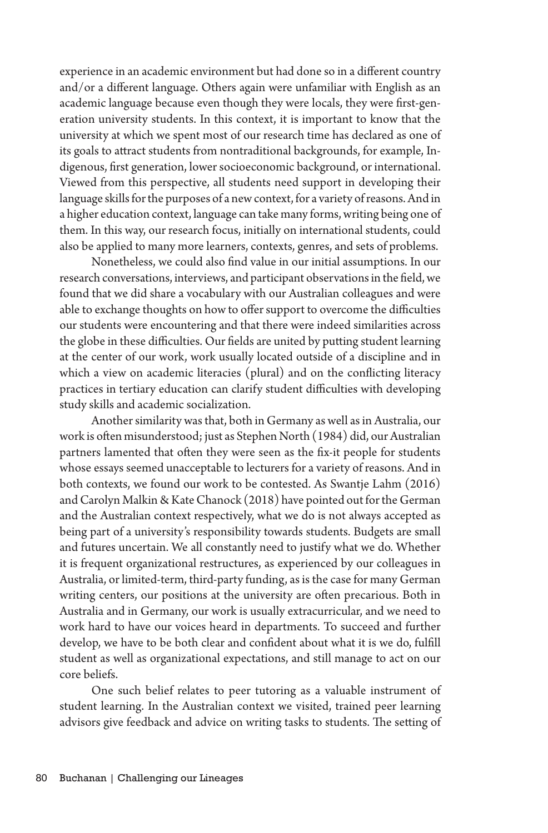experience in an academic environment but had done so in a different country and/or a different language. Others again were unfamiliar with English as an academic language because even though they were locals, they were first-generation university students. In this context, it is important to know that the university at which we spent most of our research time has declared as one of its goals to attract students from nontraditional backgrounds, for example, Indigenous, first generation, lower socioeconomic background, or international. Viewed from this perspective, all students need support in developing their language skills for the purposes of a new context, for a variety of reasons. And in a higher education context, language can take many forms, writing being one of them. In this way, our research focus, initially on international students, could also be applied to many more learners, contexts, genres, and sets of problems.

Nonetheless, we could also find value in our initial assumptions. In our research conversations, interviews, and participant observations in the field, we found that we did share a vocabulary with our Australian colleagues and were able to exchange thoughts on how to offer support to overcome the difficulties our students were encountering and that there were indeed similarities across the globe in these difficulties. Our fields are united by putting student learning at the center of our work, work usually located outside of a discipline and in which a view on academic literacies (plural) and on the conflicting literacy practices in tertiary education can clarify student difficulties with developing study skills and academic socialization.

Another similarity was that, both in Germany as well as in Australia, our work is often misunderstood; just as Stephen North (1984) did, our Australian partners lamented that often they were seen as the fix-it people for students whose essays seemed unacceptable to lecturers for a variety of reasons. And in both contexts, we found our work to be contested. As Swantje Lahm (2016) and Carolyn Malkin & Kate Chanock (2018) have pointed out for the German and the Australian context respectively, what we do is not always accepted as being part of a university's responsibility towards students. Budgets are small and futures uncertain. We all constantly need to justify what we do. Whether it is frequent organizational restructures, as experienced by our colleagues in Australia, or limited-term, third-party funding, as is the case for many German writing centers, our positions at the university are often precarious. Both in Australia and in Germany, our work is usually extracurricular, and we need to work hard to have our voices heard in departments. To succeed and further develop, we have to be both clear and confident about what it is we do, fulfill student as well as organizational expectations, and still manage to act on our core beliefs.

One such belief relates to peer tutoring as a valuable instrument of student learning. In the Australian context we visited, trained peer learning advisors give feedback and advice on writing tasks to students. The setting of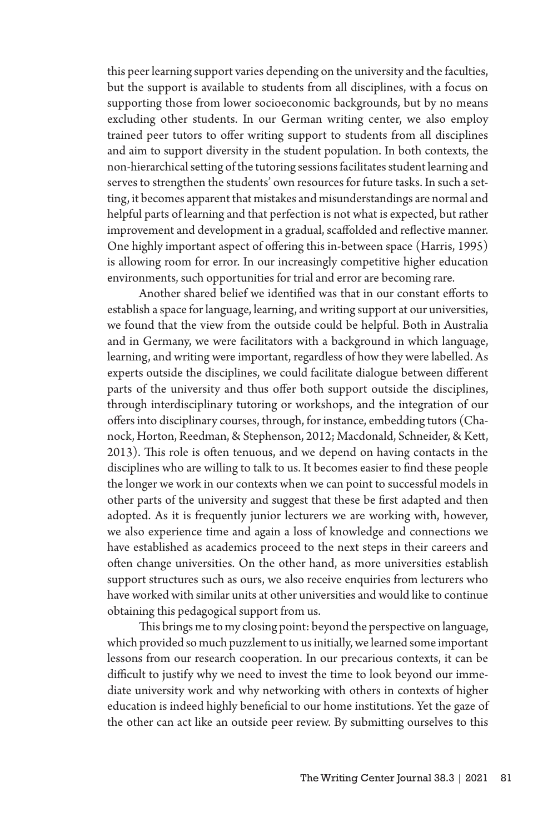this peer learning support varies depending on the university and the faculties, but the support is available to students from all disciplines, with a focus on supporting those from lower socioeconomic backgrounds, but by no means excluding other students. In our German writing center, we also employ trained peer tutors to offer writing support to students from all disciplines and aim to support diversity in the student population. In both contexts, the non-hierarchical setting of the tutoring sessions facilitates student learning and serves to strengthen the students' own resources for future tasks. In such a setting, it becomes apparent that mistakes and misunderstandings are normal and helpful parts of learning and that perfection is not what is expected, but rather improvement and development in a gradual, scaffolded and reflective manner. One highly important aspect of offering this in-between space (Harris, 1995) is allowing room for error. In our increasingly competitive higher education environments, such opportunities for trial and error are becoming rare.

Another shared belief we identified was that in our constant efforts to establish a space for language, learning, and writing support at our universities, we found that the view from the outside could be helpful. Both in Australia and in Germany, we were facilitators with a background in which language, learning, and writing were important, regardless of how they were labelled. As experts outside the disciplines, we could facilitate dialogue between different parts of the university and thus offer both support outside the disciplines, through interdisciplinary tutoring or workshops, and the integration of our offers into disciplinary courses, through, for instance, embedding tutors (Chanock, Horton, Reedman, & Stephenson, 2012; Macdonald, Schneider, & Kett, 2013). This role is often tenuous, and we depend on having contacts in the disciplines who are willing to talk to us. It becomes easier to find these people the longer we work in our contexts when we can point to successful models in other parts of the university and suggest that these be first adapted and then adopted. As it is frequently junior lecturers we are working with, however, we also experience time and again a loss of knowledge and connections we have established as academics proceed to the next steps in their careers and often change universities. On the other hand, as more universities establish support structures such as ours, we also receive enquiries from lecturers who have worked with similar units at other universities and would like to continue obtaining this pedagogical support from us.

This brings me to my closing point: beyond the perspective on language, which provided so much puzzlement to us initially, we learned some important lessons from our research cooperation. In our precarious contexts, it can be difficult to justify why we need to invest the time to look beyond our immediate university work and why networking with others in contexts of higher education is indeed highly beneficial to our home institutions. Yet the gaze of the other can act like an outside peer review. By submitting ourselves to this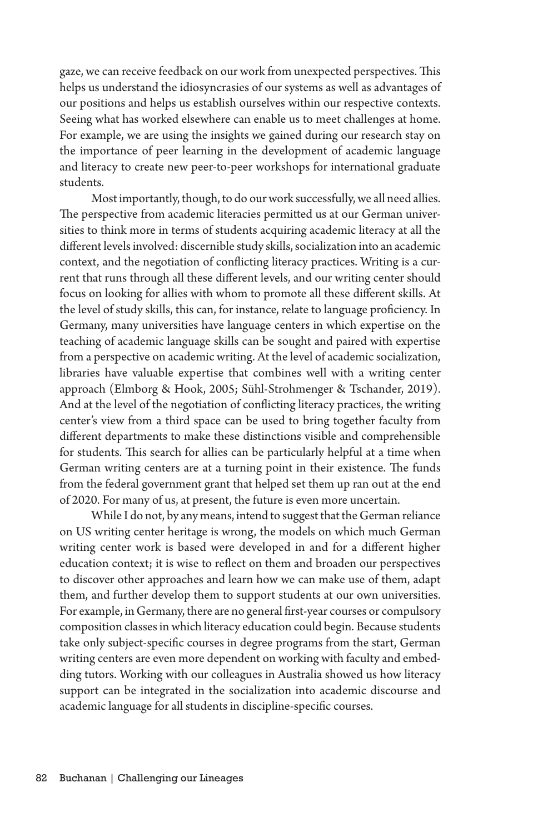gaze, we can receive feedback on our work from unexpected perspectives. This helps us understand the idiosyncrasies of our systems as well as advantages of our positions and helps us establish ourselves within our respective contexts. Seeing what has worked elsewhere can enable us to meet challenges at home. For example, we are using the insights we gained during our research stay on the importance of peer learning in the development of academic language and literacy to create new peer-to-peer workshops for international graduate students.

Most importantly, though, to do our work successfully, we all need allies. The perspective from academic literacies permitted us at our German universities to think more in terms of students acquiring academic literacy at all the different levels involved: discernible study skills, socialization into an academic context, and the negotiation of conflicting literacy practices. Writing is a current that runs through all these different levels, and our writing center should focus on looking for allies with whom to promote all these different skills. At the level of study skills, this can, for instance, relate to language proficiency. In Germany, many universities have language centers in which expertise on the teaching of academic language skills can be sought and paired with expertise from a perspective on academic writing. At the level of academic socialization, libraries have valuable expertise that combines well with a writing center approach (Elmborg & Hook, 2005; Sühl-Strohmenger & Tschander, 2019). And at the level of the negotiation of conflicting literacy practices, the writing center's view from a third space can be used to bring together faculty from different departments to make these distinctions visible and comprehensible for students. This search for allies can be particularly helpful at a time when German writing centers are at a turning point in their existence. The funds from the federal government grant that helped set them up ran out at the end of 2020. For many of us, at present, the future is even more uncertain.

While I do not, by any means, intend to suggest that the German reliance on US writing center heritage is wrong, the models on which much German writing center work is based were developed in and for a different higher education context; it is wise to reflect on them and broaden our perspectives to discover other approaches and learn how we can make use of them, adapt them, and further develop them to support students at our own universities. For example, in Germany, there are no general first-year courses or compulsory composition classes in which literacy education could begin. Because students take only subject-specific courses in degree programs from the start, German writing centers are even more dependent on working with faculty and embedding tutors. Working with our colleagues in Australia showed us how literacy support can be integrated in the socialization into academic discourse and academic language for all students in discipline-specific courses.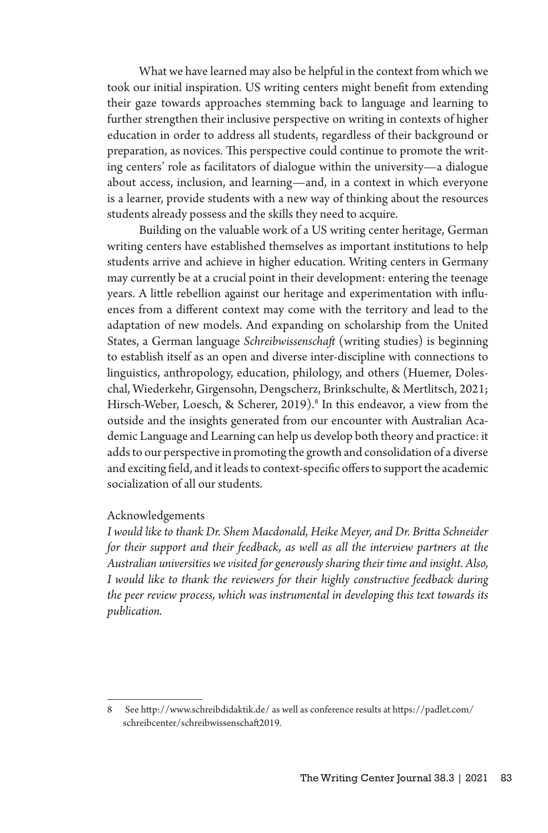What we have learned may also be helpful in the context from which we took our initial inspiration. US writing centers might benefit from extending their gaze towards approaches stemming back to language and learning to further strengthen their inclusive perspective on writing in contexts of higher education in order to address all students, regardless of their background or preparation, as novices. This perspective could continue to promote the writing centers' role as facilitators of dialogue within the university—a dialogue about access, inclusion, and learning—and, in a context in which everyone is a learner, provide students with a new way of thinking about the resources students already possess and the skills they need to acquire.

Building on the valuable work of a US writing center heritage, German writing centers have established themselves as important institutions to help students arrive and achieve in higher education. Writing centers in Germany may currently be at a crucial point in their development: entering the teenage years. A little rebellion against our heritage and experimentation with influences from a different context may come with the territory and lead to the adaptation of new models. And expanding on scholarship from the United States, a German language *Schreibwissenschaft* (writing studies) is beginning to establish itself as an open and diverse inter-discipline with connections to linguistics, anthropology, education, philology, and others (Huemer, Doleschal, Wiederkehr, Girgensohn, Dengscherz, Brinkschulte, & Mertlitsch, 2021; Hirsch-Weber, Loesch, & Scherer, 2019).<sup>8</sup> In this endeavor, a view from the outside and the insights generated from our encounter with Australian Academic Language and Learning can help us develop both theory and practice: it adds to our perspective in promoting the growth and consolidation of a diverse and exciting field, and it leads to context-specific offers to support the academic socialization of all our students.

## Acknowledgements

*I would like to thank Dr. Shem Macdonald, Heike Meyer, and Dr. Britta Schneider for their support and their feedback, as well as all the interview partners at the Australian universities we visited for generously sharing their time and insight. Also, I would like to thank the reviewers for their highly constructive feedback during the peer review process, which was instrumental in developing this text towards its publication.*

<sup>8</sup> See http://www.schreibdidaktik.de/ as well as conference results at https://padlet.com/ schreibcenter/schreibwissenschaft2019.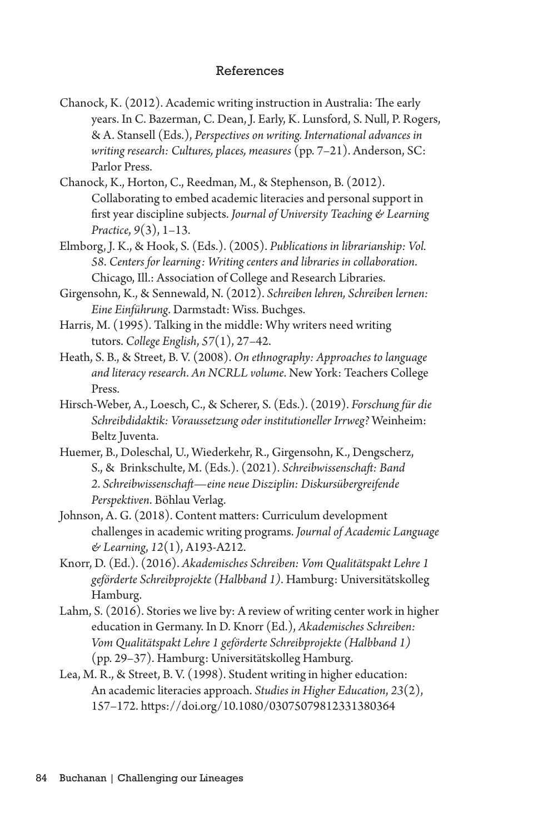## References

- Chanock, K. (2012). Academic writing instruction in Australia: The early years. In C. Bazerman, C. Dean, J. Early, K. Lunsford, S. Null, P. Rogers, & A. Stansell (Eds.), *Perspectives on writing. International advances in writing research: Cultures, places, measures* (pp. 7–21). Anderson, SC: Parlor Press.
- Chanock, K., Horton, C., Reedman, M., & Stephenson, B. (2012). Collaborating to embed academic literacies and personal support in first year discipline subjects. *Journal of University Teaching & Learning Practice*, *9*(3), 1–13.
- Elmborg, J. K., & Hook, S. (Eds.). (2005). *Publications in librarianship: Vol. 58*. *Centers for learning: Writing centers and libraries in collaboration*. Chicago, Ill.: Association of College and Research Libraries.
- Girgensohn, K., & Sennewald, N. (2012). *Schreiben lehren, Schreiben lernen: Eine Einführung*. Darmstadt: Wiss. Buchges.
- Harris, M. (1995). Talking in the middle: Why writers need writing tutors. *College English*, *57*(1), 27–42.
- Heath, S. B., & Street, B. V. (2008). *On ethnography: Approaches to language and literacy research*. *An NCRLL volume*. New York: Teachers College Press.
- Hirsch-Weber, A., Loesch, C., & Scherer, S. (Eds.). (2019). *Forschung für die Schreibdidaktik: Voraussetzung oder institutioneller Irrweg?* Weinheim: Beltz Juventa.
- Huemer, B., Doleschal, U., Wiederkehr, R., Girgensohn, K., Dengscherz, S., & Brinkschulte, M. (Eds.). (2021). *Schreibwissenschaft: Band 2*. *Schreibwissenschaft—eine neue Disziplin: Diskursübergreifende Perspektiven*. Böhlau Verlag.
- Johnson, A. G. (2018). Content matters: Curriculum development challenges in academic writing programs. *Journal of Academic Language & Learning*, *12*(1), A193-A212.
- Knorr, D. (Ed.). (2016). *Akademisches Schreiben: Vom Qualitätspakt Lehre 1 geförderte Schreibprojekte (Halbband 1)*. Hamburg: Universitätskolleg Hamburg.
- Lahm, S. (2016). Stories we live by: A review of writing center work in higher education in Germany. In D. Knorr (Ed.), *Akademisches Schreiben: Vom Qualitätspakt Lehre 1 geförderte Schreibprojekte (Halbband 1)*  (pp. 29–37). Hamburg: Universitätskolleg Hamburg.
- Lea, M. R., & Street, B. V. (1998). Student writing in higher education: An academic literacies approach. *Studies in Higher Education*, *23*(2), 157–172. https://doi.org/10.1080/03075079812331380364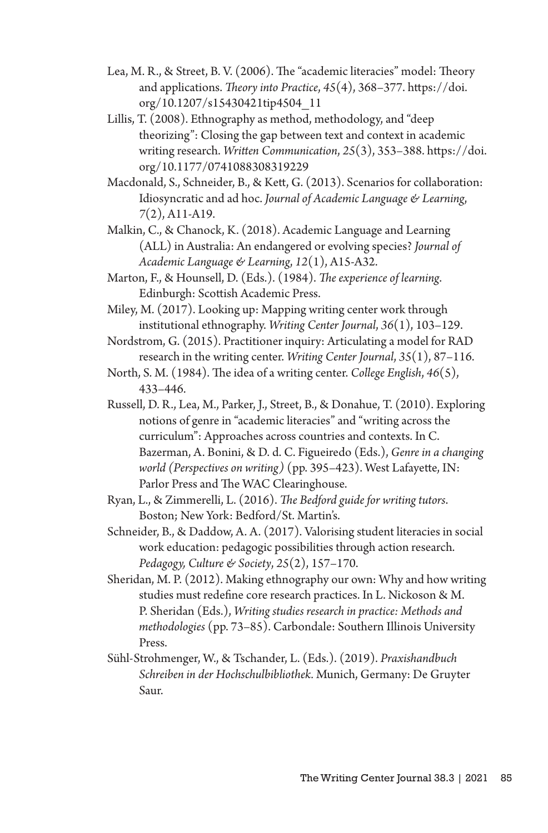- Lea, M. R., & Street, B. V. (2006). The "academic literacies" model: Theory and applications. *Theory into Practice*, *45*(4), 368–377. https://doi. org/10.1207/s15430421tip4504\_11
- Lillis, T. (2008). Ethnography as method, methodology, and "deep theorizing": Closing the gap between text and context in academic writing research. *Written Communication*, *25*(3), 353–388. https://doi. org/10.1177/0741088308319229
- Macdonald, S., Schneider, B., & Kett, G. (2013). Scenarios for collaboration: Idiosyncratic and ad hoc. *Journal of Academic Language & Learning*, *7*(2), A11-A19.
- Malkin, C., & Chanock, K. (2018). Academic Language and Learning (ALL) in Australia: An endangered or evolving species? *Journal of Academic Language & Learning*, *12*(1), A15-A32.
- Marton, F., & Hounsell, D. (Eds.). (1984). *The experience of learning*. Edinburgh: Scottish Academic Press.
- Miley, M. (2017). Looking up: Mapping writing center work through institutional ethnography. *Writing Center Journal*, *36*(1), 103–129.
- Nordstrom, G. (2015). Practitioner inquiry: Articulating a model for RAD research in the writing center. *Writing Center Journal*, *35*(1), 87–116.
- North, S. M. (1984). The idea of a writing center. *College English*, *46*(5), 433–446.
- Russell, D. R., Lea, M., Parker, J., Street, B., & Donahue, T. (2010). Exploring notions of genre in "academic literacies" and "writing across the curriculum": Approaches across countries and contexts. In C. Bazerman, A. Bonini, & D. d. C. Figueiredo (Eds.), *Genre in a changing world (Perspectives on writing)* (pp. 395–423). West Lafayette, IN: Parlor Press and The WAC Clearinghouse.
- Ryan, L., & Zimmerelli, L. (2016). *The Bedford guide for writing tutors*. Boston; New York: Bedford/St. Martin's.
- Schneider, B., & Daddow, A. A. (2017). Valorising student literacies in social work education: pedagogic possibilities through action research. *Pedagogy, Culture & Society*, *25*(2), 157–170.
- Sheridan, M. P. (2012). Making ethnography our own: Why and how writing studies must redefine core research practices. In L. Nickoson & M. P. Sheridan (Eds.), *Writing studies research in practice: Methods and methodologies* (pp. 73–85). Carbondale: Southern Illinois University Press.
- Sühl-Strohmenger, W., & Tschander, L. (Eds.). (2019). *Praxishandbuch Schreiben in der Hochschulbibliothek.* Munich, Germany: De Gruyter Saur.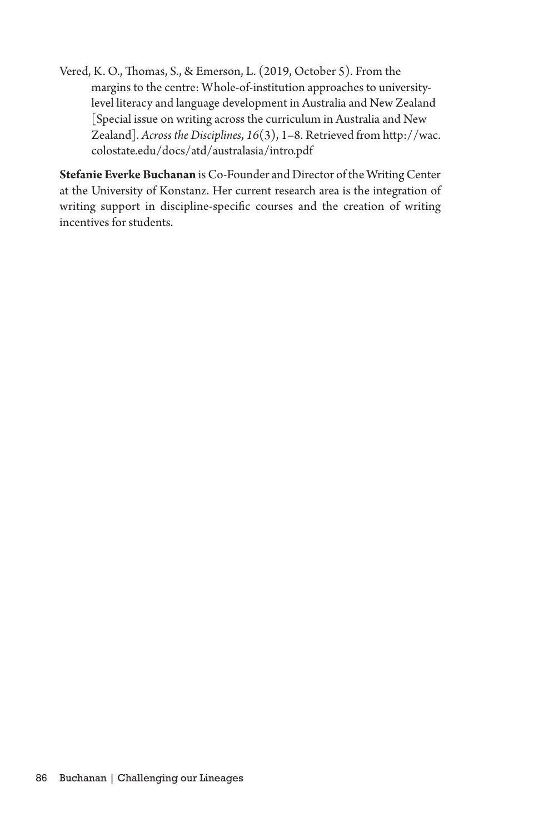Vered, K. O., Thomas, S., & Emerson, L. (2019, October 5). From the margins to the centre: Whole-of-institution approaches to universitylevel literacy and language development in Australia and New Zealand [Special issue on writing across the curriculum in Australia and New Zealand]. *Across the Disciplines*, *16*(3), 1–8. Retrieved from http://wac. colostate.edu/docs/atd/australasia/intro.pdf

**Stefanie Everke Buchanan** is Co-Founder and Director of the Writing Center at the University of Konstanz. Her current research area is the integration of writing support in discipline-specific courses and the creation of writing incentives for students.